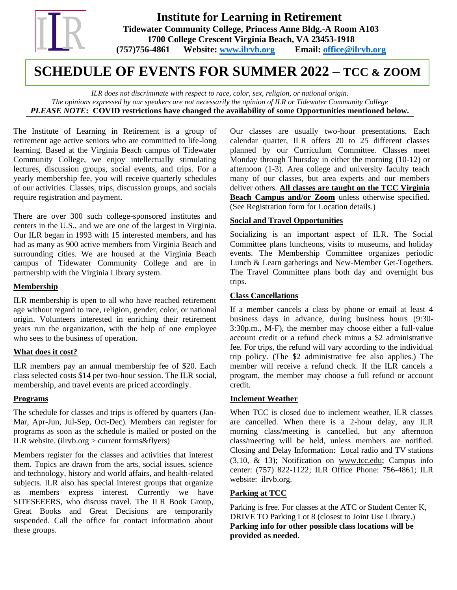

**Institute for Learning in Retirement Tidewater Community College, Princess Anne Bldg.-A Room A103 1700 College Crescent Virginia Beach, VA 23453-1918 (757)756-4861 Website: [www.ilrvb.org](about:blank) Email[: office@ilrvb.org](about:blank)**

# **SCHEDULE OF EVENTS FOR SUMMER 2022 – TCC & ZOOM**

*ILR does not discriminate with respect to race, color, sex, religion, or national origin. The opinions expressed by our speakers are not necessarily the opinion of ILR or Tidewater Community College PLEASE NOTE***: COVID restrictions have changed the availability of some Opportunities mentioned below.**

The Institute of Learning in Retirement is a group of retirement age active seniors who are committed to life-long learning. Based at the Virginia Beach campus of Tidewater Community College, we enjoy intellectually stimulating lectures, discussion groups, social events, and trips. For a yearly membership fee, you will receive quarterly schedules of our activities. Classes, trips, discussion groups, and socials require registration and payment.

There are over 300 such college-sponsored institutes and centers in the U.S., and we are one of the largest in Virginia. Our ILR began in 1993 with 15 interested members, and has had as many as 900 active members from Virginia Beach and surrounding cities. We are housed at the Virginia Beach campus of Tidewater Community College and are in partnership with the Virginia Library system.

#### **Membership**

ILR membership is open to all who have reached retirement age without regard to race, religion, gender, color, or national origin. Volunteers interested in enriching their retirement years run the organization, with the help of one employee who sees to the business of operation.

#### **What does it cost?**

ILR members pay an annual membership fee of \$20. Each class selected costs \$14 per two-hour session. The ILR social, membership, and travel events are priced accordingly.

#### **Programs**

The schedule for classes and trips is offered by quarters (Jan-Mar, Apr-Jun, Jul-Sep, Oct-Dec). Members can register for programs as soon as the schedule is mailed or posted on the ILR website. (ilrvb.org > current forms&flyers)

Members register for the classes and activities that interest them. Topics are drawn from the arts, social issues, science and technology, history and world affairs, and health-related subjects. ILR also has special interest groups that organize as members express interest. Currently we have SITESEEERS, who discuss travel. The ILR Book Group, Great Books and Great Decisions are temporarily suspended. Call the office for contact information about these groups.

Our classes are usually two-hour presentations. Each calendar quarter, ILR offers 20 to 25 different classes planned by our Curriculum Committee. Classes meet Monday through Thursday in either the morning (10-12) or afternoon (1-3). Area college and university faculty teach many of our classes, but area experts and our members deliver others. **All classes are taught on the TCC Virginia Beach Campus and/or Zoom** unless otherwise specified. (See Registration form for Location details.)

#### **Social and Travel Opportunities**

Socializing is an important aspect of ILR. The Social Committee plans luncheons, visits to museums, and holiday events. The Membership Committee organizes periodic Lunch & Learn gatherings and New-Member Get-Togethers. The Travel Committee plans both day and overnight bus trips.

#### **Class Cancellations**

If a member cancels a class by phone or email at least 4 business days in advance, during business hours (9:30- 3:30p.m., M-F), the member may choose either a full-value account credit or a refund check minus a \$2 administrative fee. For trips, the refund will vary according to the individual trip policy. (The \$2 administrative fee also applies.) The member will receive a refund check. If the ILR cancels a program, the member may choose a full refund or account credit.

#### **Inclement Weather**

When TCC is closed due to inclement weather, ILR classes are cancelled. When there is a 2-hour delay, any ILR morning class/meeting is cancelled, but any afternoon class/meeting will be held, unless members are notified. Closing and Delay Information: Local radio and TV stations (3,10, & 13); Notification on [www.tcc.edu](about:blank); Campus info center: (757) 822-1122; ILR Office Phone: 756-4861; ILR website: ilrvb.org.

#### **Parking at TCC**

Parking is free. For classes at the ATC or Student Center K, DRIVE TO Parking Lot 8 (closest to Joint Use Library.) **Parking info for other possible class locations will be provided as needed**.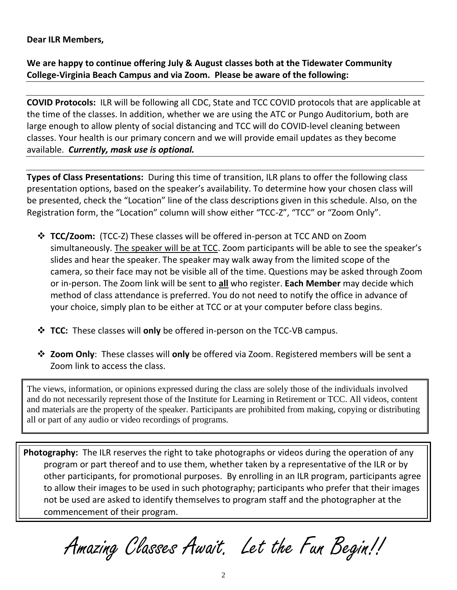#### **Dear ILR Members,**

## **We are happy to continue offering July & August classes both at the Tidewater Community College-Virginia Beach Campus and via Zoom. Please be aware of the following:**

**COVID Protocols:** ILR will be following all CDC, State and TCC COVID protocols that are applicable at the time of the classes. In addition, whether we are using the ATC or Pungo Auditorium, both are large enough to allow plenty of social distancing and TCC will do COVID-level cleaning between classes. Your health is our primary concern and we will provide email updates as they become available. *Currently, mask use is optional.*

**Types of Class Presentations:** During this time of transition, ILR plans to offer the following class presentation options, based on the speaker's availability. To determine how your chosen class will be presented, check the "Location" line of the class descriptions given in this schedule. Also, on the Registration form, the "Location" column will show either "TCC-Z", "TCC" or "Zoom Only".

- ❖ **TCC/Zoom:** (TCC-Z) These classes will be offered in-person at TCC AND on Zoom simultaneously. The speaker will be at TCC. Zoom participants will be able to see the speaker's slides and hear the speaker. The speaker may walk away from the limited scope of the camera, so their face may not be visible all of the time. Questions may be asked through Zoom or in-person. The Zoom link will be sent to **all** who register. **Each Member** may decide which method of class attendance is preferred. You do not need to notify the office in advance of your choice, simply plan to be either at TCC or at your computer before class begins.
- ❖ **TCC:** These classes will **only** be offered in-person on the TCC-VB campus.
- ❖ **Zoom Only**: These classes will **only** be offered via Zoom. Registered members will be sent a Zoom link to access the class.

The views, information, or opinions expressed during the class are solely those of the individuals involved and do not necessarily represent those of the Institute for Learning in Retirement or TCC. All videos, content and materials are the property of the speaker. Participants are prohibited from making, copying or distributing all or part of any audio or video recordings of programs.

**Photography:** The ILR reserves the right to take photographs or videos during the operation of any program or part thereof and to use them, whether taken by a representative of the ILR or by other participants, for promotional purposes. By enrolling in an ILR program, participants agree to allow their images to be used in such photography; participants who prefer that their images not be used are asked to identify themselves to program staff and the photographer at the commencement of their program.

Amazing Classes Await. Let the Fun Begin!!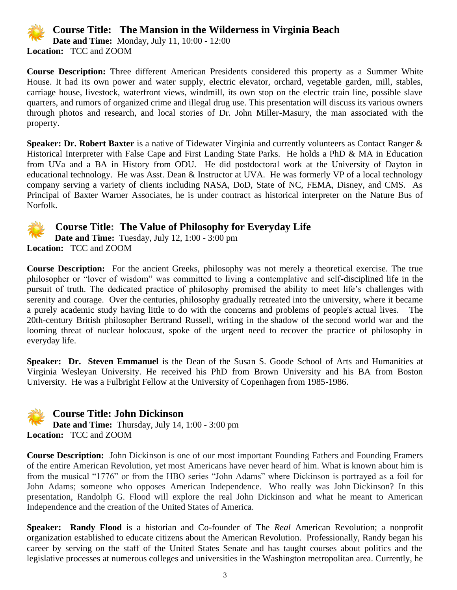

#### **Course Title: The Mansion in the Wilderness in Virginia Beach**

**Date and Time:** Monday, July 11, 10:00 - 12:00 **Location:** TCC and ZOOM

**Course Description:** Three different American Presidents considered this property as a Summer White House. It had its own power and water supply, electric elevator, orchard, vegetable garden, mill, stables, carriage house, livestock, waterfront views, windmill, its own stop on the electric train line, possible slave quarters, and rumors of organized crime and illegal drug use. This presentation will discuss its various owners through photos and research, and local stories of Dr. John Miller-Masury, the man associated with the property.

**Speaker: Dr. Robert Baxter** is a native of Tidewater Virginia and currently volunteers as Contact Ranger & Historical Interpreter with False Cape and First Landing State Parks. He holds a PhD & MA in Education from UVa and a BA in History from ODU. He did postdoctoral work at the University of Dayton in educational technology. He was Asst. Dean & Instructor at UVA. He was formerly VP of a local technology company serving a variety of clients including NASA, DoD, State of NC, FEMA, Disney, and CMS. As Principal of Baxter Warner Associates, he is under contract as historical interpreter on the Nature Bus of Norfolk.



# **Course Title: The Value of Philosophy for Everyday Life**

**Date and Time:** Tuesday, July 12, 1:00 - 3:00 pm **Location:** TCC and ZOOM

**Course Description:** For the ancient Greeks, philosophy was not merely a theoretical exercise. The true philosopher or "lover of wisdom" was committed to living a contemplative and self-disciplined life in the pursuit of truth. The dedicated practice of philosophy promised the ability to meet life's challenges with serenity and courage. Over the centuries, philosophy gradually retreated into the university, where it became a purely academic study having little to do with the concerns and problems of people's actual lives. The 20th-century British philosopher Bertrand Russell, writing in the shadow of the second world war and the looming threat of nuclear holocaust, spoke of the urgent need to recover the practice of philosophy in everyday life.

**Speaker: Dr. Steven Emmanuel** is the Dean of the Susan S. Goode School of Arts and Humanities at Virginia Wesleyan University. He received his PhD from Brown University and his BA from Boston University. He was a Fulbright Fellow at the University of Copenhagen from 1985-1986.



# **Course Title: John Dickinson**

**Date and Time:** Thursday, July 14, 1:00 - 3:00 pm **Location:** TCC and ZOOM

**Course Description:** John Dickinson is one of our most important Founding Fathers and Founding Framers of the entire American Revolution, yet most Americans have never heard of him. What is known about him is from the musical "1776" or from the HBO series "John Adams" where Dickinson is portrayed as a foil for John Adams; someone who opposes American Independence. Who really was John Dickinson? In this presentation, Randolph G. Flood will explore the real John Dickinson and what he meant to American Independence and the creation of the United States of America.

**Speaker: Randy Flood** is a historian and Co-founder of The *Real* American Revolution; a nonprofit organization established to educate citizens about the American Revolution. Professionally, Randy began his career by serving on the staff of the United States Senate and has taught courses about politics and the legislative processes at numerous colleges and universities in the Washington metropolitan area. Currently, he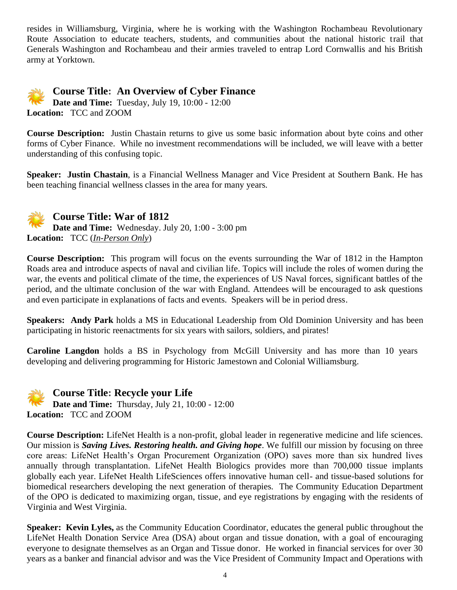resides in Williamsburg, Virginia, where he is working with the Washington Rochambeau Revolutionary Route Association to educate teachers, students, and communities about the national historic trail that Generals Washington and Rochambeau and their armies traveled to entrap Lord Cornwallis and his British army at Yorktown.



**Course Title: An Overview of Cyber Finance**

**Date and Time:** Tuesday, July 19, 10:00 - 12:00 **Location:** TCC and ZOOM

**Course Description:** Justin Chastain returns to give us some basic information about byte coins and other forms of Cyber Finance. While no investment recommendations will be included, we will leave with a better understanding of this confusing topic.

**Speaker: Justin Chastain**, is a Financial Wellness Manager and Vice President at Southern Bank. He has been teaching financial wellness classes in the area for many years.



# **Course Title: War of 1812**

**Date and Time:** Wednesday. July 20, 1:00 - 3:00 pm **Location:** TCC (*In-Person Only*)

**Course Description:** This program will focus on the events surrounding the War of 1812 in the Hampton Roads area and introduce aspects of naval and civilian life. Topics will include the roles of women during the war, the events and political climate of the time, the experiences of US Naval forces, significant battles of the period, and the ultimate conclusion of the war with England. Attendees will be encouraged to ask questions and even participate in explanations of facts and events. Speakers will be in period dress.

**Speakers: Andy Park** holds a MS in Educational Leadership from Old Dominion University and has been participating in historic reenactments for six years with sailors, soldiers, and pirates!

**Caroline Langdon** holds a BS in Psychology from McGill University and has more than 10 years developing and delivering programming for Historic Jamestown and Colonial Williamsburg.



**Course Title: Recycle your Life**

**Date and Time:** Thursday, July 21, 10:00 - 12:00 **Location:** TCC and ZOOM

**Course Description:** LifeNet Health is a non-profit, global leader in regenerative medicine and life sciences. Our mission is *Saving Lives. Restoring health. and Giving hope*. We fulfill our mission by focusing on three core areas: LifeNet Health's Organ Procurement Organization (OPO) saves more than six hundred lives annually through transplantation. LifeNet Health Biologics provides more than 700,000 tissue implants globally each year. LifeNet Health LifeSciences offers innovative human cell- and tissue-based solutions for biomedical researchers developing the next generation of therapies. The Community Education Department of the OPO is dedicated to maximizing organ, tissue, and eye registrations by engaging with the residents of Virginia and West Virginia.

**Speaker: Kevin Lyles,** as the Community Education Coordinator, educates the general public throughout the LifeNet Health Donation Service Area (DSA) about organ and tissue donation, with a goal of encouraging everyone to designate themselves as an Organ and Tissue donor. He worked in financial services for over 30 years as a banker and financial advisor and was the Vice President of Community Impact and Operations with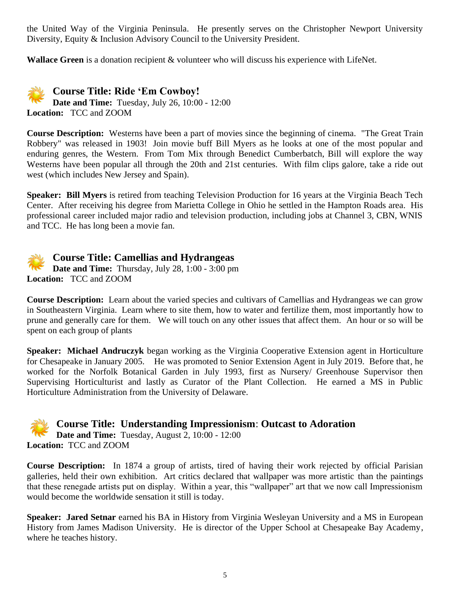the United Way of the Virginia Peninsula. He presently serves on the Christopher Newport University Diversity, Equity & Inclusion Advisory Council to the University President.

**Wallace Green** is a donation recipient & volunteer who will discuss his experience with LifeNet.



**Course Title: Ride 'Em Cowboy!**

**Date and Time:** Tuesday, July 26, 10:00 - 12:00 **Location:** TCC and ZOOM

**Course Description:** Westerns have been a part of movies since the beginning of cinema. "The Great Train Robbery" was released in 1903! Join movie buff Bill Myers as he looks at one of the most popular and enduring genres, the Western. From Tom Mix through Benedict Cumberbatch, Bill will explore the way Westerns have been popular all through the 20th and 21st centuries. With film clips galore, take a ride out west (which includes New Jersey and Spain).

**Speaker: Bill Myers** is retired from teaching Television Production for 16 years at the Virginia Beach Tech Center. After receiving his degree from Marietta College in Ohio he settled in the Hampton Roads area. His professional career included major radio and television production, including jobs at Channel 3, CBN, WNIS and TCC. He has long been a movie fan.



**Course Title: Camellias and Hydrangeas**

**Date and Time:** Thursday, July 28, 1:00 - 3:00 pm **Location:** TCC and ZOOM

**Course Description:** Learn about the varied species and cultivars of Camellias and Hydrangeas we can grow in Southeastern Virginia. Learn where to site them, how to water and fertilize them, most importantly how to prune and generally care for them. We will touch on any other issues that affect them. An hour or so will be spent on each group of plants

**Speaker: Michael Andruczyk** began working as the Virginia Cooperative Extension agent in Horticulture for Chesapeake in January 2005. He was promoted to Senior Extension Agent in July 2019. Before that, he worked for the Norfolk Botanical Garden in July 1993, first as Nursery/ Greenhouse Supervisor then Supervising Horticulturist and lastly as Curator of the Plant Collection. He earned a MS in Public Horticulture Administration from the University of Delaware.



**Course Title: Understanding Impressionism**: **Outcast to Adoration**

**Date and Time:** Tuesday, August 2, 10:00 - 12:00 **Location:** TCC and ZOOM

**Course Description:** In 1874 a group of artists, tired of having their work rejected by official Parisian galleries, held their own exhibition. Art critics declared that wallpaper was more artistic than the paintings that these renegade artists put on display. Within a year, this "wallpaper" art that we now call Impressionism would become the worldwide sensation it still is today.

**Speaker: Jared Setnar** earned his BA in History from Virginia Wesleyan University and a MS in European History from James Madison University. He is director of the Upper School at Chesapeake Bay Academy, where he teaches history.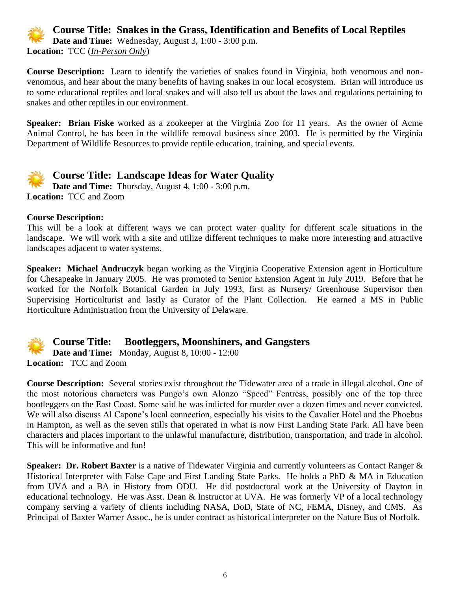**Course Title: Snakes in the Grass, Identification and Benefits of Local Reptiles Date and Time:** Wednesday, August 3, 1:00 - 3:00 p.m. **Location:** TCC (*In-Person Only*)

**Course Description:** Learn to identify the varieties of snakes found in Virginia, both venomous and nonvenomous, and hear about the many benefits of having snakes in our local ecosystem. Brian will introduce us to some educational reptiles and local snakes and will also tell us about the laws and regulations pertaining to snakes and other reptiles in our environment.

**Speaker: Brian Fiske** worked as a zookeeper at the Virginia Zoo for 11 years. As the owner of Acme Animal Control, he has been in the wildlife removal business since 2003. He is permitted by the Virginia Department of Wildlife Resources to provide reptile education, training, and special events.



# **Course Title: Landscape Ideas for Water Quality**

**Date and Time:** Thursday, August 4, 1:00 - 3:00 p.m. **Location:** TCC and Zoom

#### **Course Description:**

This will be a look at different ways we can protect water quality for different scale situations in the landscape. We will work with a site and utilize different techniques to make more interesting and attractive landscapes adjacent to water systems.

**Speaker: Michael Andruczyk** began working as the Virginia Cooperative Extension agent in Horticulture for Chesapeake in January 2005. He was promoted to Senior Extension Agent in July 2019. Before that he worked for the Norfolk Botanical Garden in July 1993, first as Nursery/ Greenhouse Supervisor then Supervising Horticulturist and lastly as Curator of the Plant Collection. He earned a MS in Public Horticulture Administration from the University of Delaware.



#### **Course Title: Bootleggers, Moonshiners, and Gangsters**

**Date and Time:** Monday, August 8, 10:00 - 12:00 **Location:** TCC and Zoom

**Course Description:** Several stories exist throughout the Tidewater area of a trade in illegal alcohol. One of the most notorious characters was Pungo's own Alonzo "Speed" Fentress, possibly one of the top three bootleggers on the East Coast. Some said he was indicted for murder over a dozen times and never convicted. We will also discuss Al Capone's local connection, especially his visits to the Cavalier Hotel and the Phoebus in Hampton, as well as the seven stills that operated in what is now First Landing State Park. All have been characters and places important to the unlawful manufacture, distribution, transportation, and trade in alcohol. This will be informative and fun!

**Speaker: Dr. Robert Baxter** is a native of Tidewater Virginia and currently volunteers as Contact Ranger & Historical Interpreter with False Cape and First Landing State Parks. He holds a PhD & MA in Education from UVA and a BA in History from ODU. He did postdoctoral work at the University of Dayton in educational technology. He was Asst. Dean & Instructor at UVA. He was formerly VP of a local technology company serving a variety of clients including NASA, DoD, State of NC, FEMA, Disney, and CMS. As Principal of Baxter Warner Assoc., he is under contract as historical interpreter on the Nature Bus of Norfolk.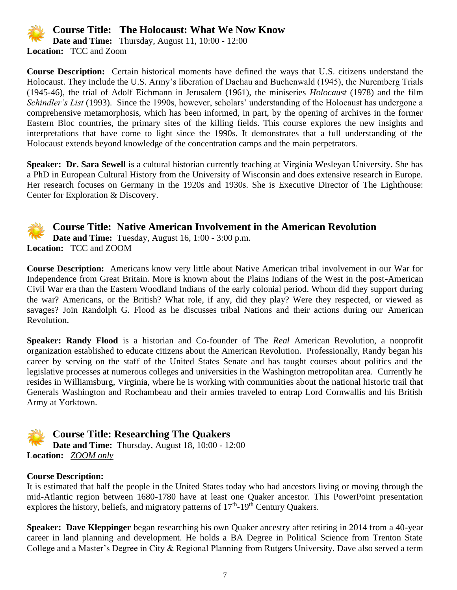

**Course Description:** Certain historical moments have defined the ways that U.S. citizens understand the Holocaust. They include the U.S. Army's liberation of Dachau and Buchenwald (1945), the Nuremberg Trials (1945-46), the trial of Adolf Eichmann in Jerusalem (1961), the miniseries *Holocaust* (1978) and the film *Schindler's List* (1993). Since the 1990s, however, scholars' understanding of the Holocaust has undergone a comprehensive metamorphosis, which has been informed, in part, by the opening of archives in the former Eastern Bloc countries, the primary sites of the killing fields. This course explores the new insights and interpretations that have come to light since the 1990s. It demonstrates that a full understanding of the Holocaust extends beyond knowledge of the concentration camps and the main perpetrators.

**Speaker: Dr. Sara Sewell** is a cultural historian currently teaching at Virginia Wesleyan University. She has a PhD in European Cultural History from the University of Wisconsin and does extensive research in Europe. Her research focuses on Germany in the 1920s and 1930s. She is Executive Director of The Lighthouse: Center for Exploration & Discovery.



## **Course Title: Native American Involvement in the American Revolution**

**Date and Time:** Tuesday, August 16, 1:00 - 3:00 p.m. **Location:** TCC and ZOOM

**Course Description:** Americans know very little about Native American tribal involvement in our War for Independence from Great Britain. More is known about the Plains Indians of the West in the post-American Civil War era than the Eastern Woodland Indians of the early colonial period. Whom did they support during the war? Americans, or the British? What role, if any, did they play? Were they respected, or viewed as savages? Join Randolph G. Flood as he discusses tribal Nations and their actions during our American Revolution.

**Speaker: Randy Flood** is a historian and Co-founder of The *Real* American Revolution, a nonprofit organization established to educate citizens about the American Revolution. Professionally, Randy began his career by serving on the staff of the United States Senate and has taught courses about politics and the legislative processes at numerous colleges and universities in the Washington metropolitan area. Currently he resides in Williamsburg, Virginia, where he is working with communities about the national historic trail that Generals Washington and Rochambeau and their armies traveled to entrap Lord Cornwallis and his British Army at Yorktown.



# **Course Title: Researching The Quakers**

**Date and Time:** Thursday, August 18, 10:00 - 12:00 **Location:** *ZOOM only*

#### **Course Description:**

It is estimated that half the people in the United States today who had ancestors living or moving through the mid-Atlantic region between 1680-1780 have at least one Quaker ancestor. This PowerPoint presentation explores the history, beliefs, and migratory patterns of  $17<sup>th</sup>$ -19<sup>th</sup> Century Quakers.

**Speaker: Dave Kleppinger** began researching his own Quaker ancestry after retiring in 2014 from a 40-year career in land planning and development. He holds a BA Degree in Political Science from Trenton State College and a Master's Degree in City & Regional Planning from Rutgers University. Dave also served a term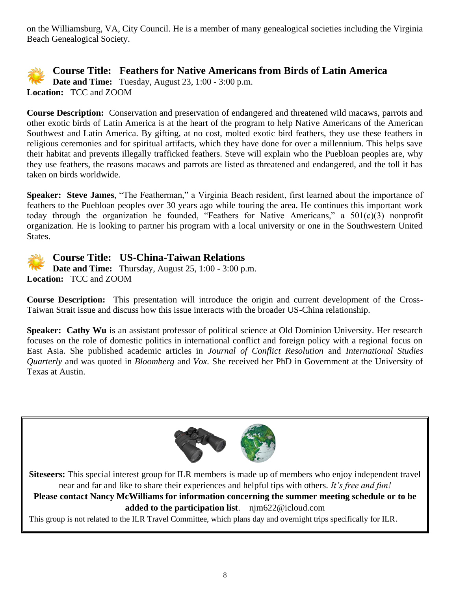on the Williamsburg, VA, City Council. He is a member of many genealogical societies including the Virginia Beach Genealogical Society.



**Course Title: Feathers for Native Americans from Birds of Latin America Date and Time:** Tuesday, August 23, 1:00 - 3:00 p.m. **Location:** TCC and ZOOM

**Course Description:** Conservation and preservation of endangered and threatened wild macaws, parrots and other exotic birds of Latin America is at the heart of the program to help Native Americans of the American Southwest and Latin America. By gifting, at no cost, molted exotic bird feathers, they use these feathers in religious ceremonies and for spiritual artifacts, which they have done for over a millennium. This helps save their habitat and prevents illegally trafficked feathers. Steve will explain who the Puebloan peoples are, why they use feathers, the reasons macaws and parrots are listed as threatened and endangered, and the toll it has taken on birds worldwide.

**Speaker: Steve James**, "The Featherman," a Virginia Beach resident, first learned about the importance of feathers to the Puebloan peoples over 30 years ago while touring the area. He continues this important work today through the organization he founded, "Feathers for Native Americans," a  $501(c)(3)$  nonprofit organization. He is looking to partner his program with a local university or one in the Southwestern United States.



**Course Title: US-China-Taiwan Relations**

**Date and Time:** Thursday, August 25, 1:00 - 3:00 p.m. **Location:** TCC and ZOOM

**Course Description:** This presentation will introduce the origin and current development of the Cross-Taiwan Strait issue and discuss how this issue interacts with the broader US-China relationship.

**Speaker: Cathy Wu** is an assistant professor of political science at Old Dominion University. Her research focuses on the role of domestic politics in international conflict and foreign policy with a regional focus on East Asia. She published academic articles in *Journal of Conflict Resolution* and *International Studies Quarterly* and was quoted in *Bloomberg* and *Vox.* She received her PhD in Government at the University of Texas at Austin.



**Siteseers:** This special interest group for ILR members is made up of members who enjoy independent travel near and far and like to share their experiences and helpful tips with others. *It's free and fun!* **Please contact Nancy McWilliams for information concerning the summer meeting schedule or to be added to the participation list**. njm622@icloud.com

This group is not related to the ILR Travel Committee, which plans day and overnight trips specifically for ILR.